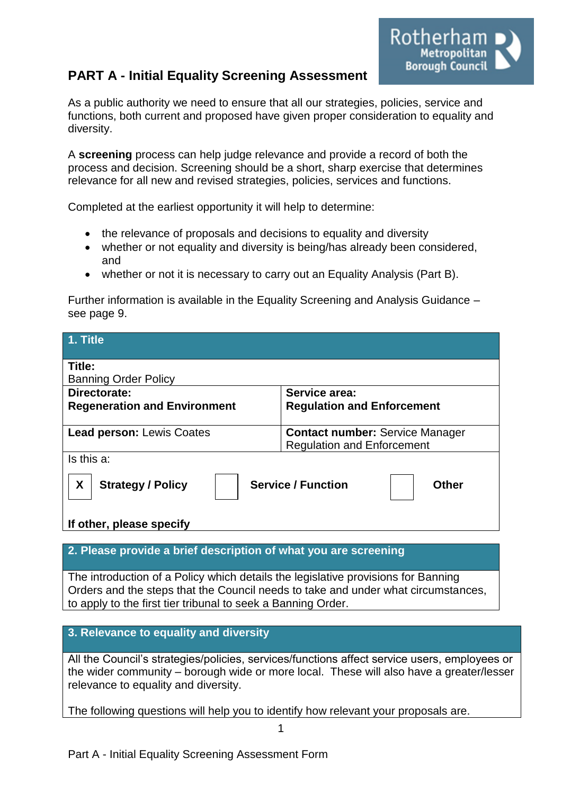# **PART A - Initial Equality Screening Assessment**



As a public authority we need to ensure that all our strategies, policies, service and functions, both current and proposed have given proper consideration to equality and diversity.

A **screening** process can help judge relevance and provide a record of both the process and decision. Screening should be a short, sharp exercise that determines relevance for all new and revised strategies, policies, services and functions.

Completed at the earliest opportunity it will help to determine:

- the relevance of proposals and decisions to equality and diversity
- whether or not equality and diversity is being/has already been considered, and
- whether or not it is necessary to carry out an Equality Analysis (Part B).

Further information is available in the Equality Screening and Analysis Guidance – see page 9.

| 1. Title                                                                   |                                        |  |
|----------------------------------------------------------------------------|----------------------------------------|--|
| Title:                                                                     |                                        |  |
| <b>Banning Order Policy</b>                                                |                                        |  |
| Directorate:                                                               | Service area:                          |  |
| <b>Regeneration and Environment</b>                                        | <b>Regulation and Enforcement</b>      |  |
|                                                                            |                                        |  |
| <b>Lead person: Lewis Coates</b>                                           | <b>Contact number: Service Manager</b> |  |
|                                                                            | <b>Regulation and Enforcement</b>      |  |
| Is this a:                                                                 |                                        |  |
| X<br><b>Service / Function</b><br><b>Strategy / Policy</b><br><b>Other</b> |                                        |  |
| If other, please specify                                                   |                                        |  |

**2. Please provide a brief description of what you are screening**

The introduction of a Policy which details the legislative provisions for Banning Orders and the steps that the Council needs to take and under what circumstances, to apply to the first tier tribunal to seek a Banning Order.

#### **3. Relevance to equality and diversity**

All the Council's strategies/policies, services/functions affect service users, employees or the wider community – borough wide or more local. These will also have a greater/lesser relevance to equality and diversity.

The following questions will help you to identify how relevant your proposals are.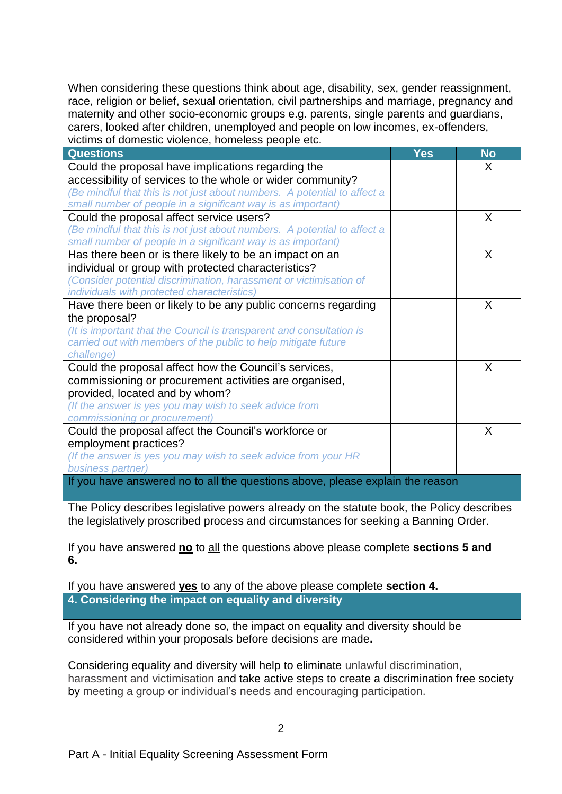When considering these questions think about age, disability, sex, gender reassignment, race, religion or belief, sexual orientation, civil partnerships and marriage, pregnancy and maternity and other socio-economic groups e.g. parents, single parents and guardians, carers, looked after children, unemployed and people on low incomes, ex-offenders, victims of domestic violence, homeless people etc.

| <b>Questions</b>                                                              | <b>Yes</b> | <b>No</b> |
|-------------------------------------------------------------------------------|------------|-----------|
| Could the proposal have implications regarding the                            |            | X         |
| accessibility of services to the whole or wider community?                    |            |           |
| (Be mindful that this is not just about numbers. A potential to affect a      |            |           |
| small number of people in a significant way is as important)                  |            |           |
| Could the proposal affect service users?                                      |            | X         |
| (Be mindful that this is not just about numbers. A potential to affect a      |            |           |
| small number of people in a significant way is as important)                  |            |           |
| Has there been or is there likely to be an impact on an                       |            | X         |
| individual or group with protected characteristics?                           |            |           |
| (Consider potential discrimination, harassment or victimisation of            |            |           |
| individuals with protected characteristics)                                   |            |           |
| Have there been or likely to be any public concerns regarding                 |            | $\sf X$   |
| the proposal?                                                                 |            |           |
| (It is important that the Council is transparent and consultation is          |            |           |
| carried out with members of the public to help mitigate future                |            |           |
| challenge)                                                                    |            |           |
| Could the proposal affect how the Council's services,                         |            | $\sf X$   |
| commissioning or procurement activities are organised,                        |            |           |
| provided, located and by whom?                                                |            |           |
| (If the answer is yes you may wish to seek advice from                        |            |           |
| commissioning or procurement)                                                 |            |           |
| Could the proposal affect the Council's workforce or                          |            | X         |
| employment practices?                                                         |            |           |
| (If the answer is yes you may wish to seek advice from your HR                |            |           |
| business partner)                                                             |            |           |
| If you have answered no to all the questions above, please explain the reason |            |           |

The Policy describes legislative powers already on the statute book, the Policy describes the legislatively proscribed process and circumstances for seeking a Banning Order.

If you have answered **no** to all the questions above please complete **sections 5 and 6.**

If you have answered **yes** to any of the above please complete **section 4. 4. Considering the impact on equality and diversity**

If you have not already done so, the impact on equality and diversity should be considered within your proposals before decisions are made**.**

Considering equality and diversity will help to eliminate unlawful discrimination, harassment and victimisation and take active steps to create a discrimination free society by meeting a group or individual's needs and encouraging participation.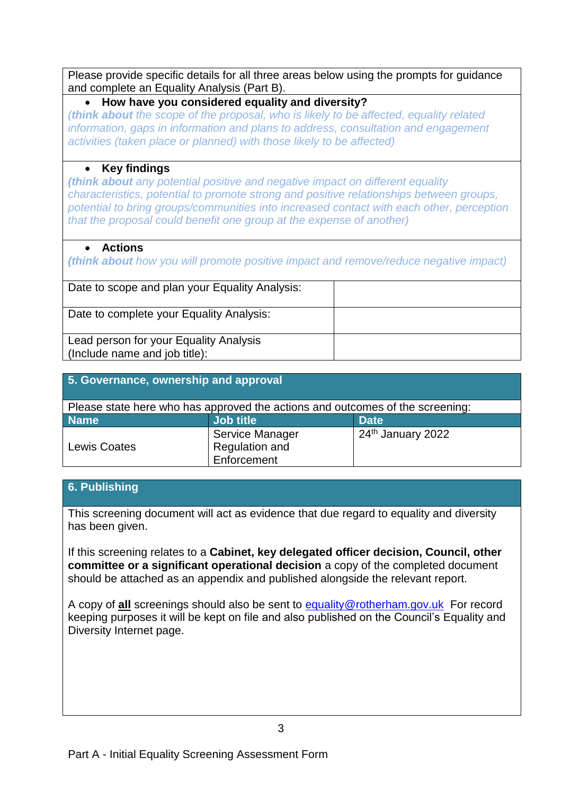Please provide specific details for all three areas below using the prompts for guidance and complete an Equality Analysis (Part B).

#### **How have you considered equality and diversity?**

*(think about the scope of the proposal, who is likely to be affected, equality related information, gaps in information and plans to address, consultation and engagement activities (taken place or planned) with those likely to be affected)*

### **Key findings**

*(think about any potential positive and negative impact on different equality characteristics, potential to promote strong and positive relationships between groups, potential to bring groups/communities into increased contact with each other, perception that the proposal could benefit one group at the expense of another)*

#### **Actions**

*(think about how you will promote positive impact and remove/reduce negative impact)*

| Date to scope and plan your Equality Analysis: |  |
|------------------------------------------------|--|
| Date to complete your Equality Analysis:       |  |
|                                                |  |
| Lead person for your Equality Analysis         |  |
| (Include name and job title):                  |  |

| 5. Governance, ownership and approval                                         |                 |                   |  |  |
|-------------------------------------------------------------------------------|-----------------|-------------------|--|--|
| Please state here who has approved the actions and outcomes of the screening: |                 |                   |  |  |
| <b>Name</b>                                                                   | Job title       | <b>Date</b>       |  |  |
|                                                                               | Service Manager | 24th January 2022 |  |  |
| <b>Lewis Coates</b>                                                           | Regulation and  |                   |  |  |
|                                                                               | Enforcement     |                   |  |  |

## **6. Publishing**

This screening document will act as evidence that due regard to equality and diversity has been given.

If this screening relates to a **Cabinet, key delegated officer decision, Council, other committee or a significant operational decision** a copy of the completed document should be attached as an appendix and published alongside the relevant report.

A copy of **all** screenings should also be sent to [equality@rotherham.gov.uk](mailto:equality@rotherham.gov.uk) For record keeping purposes it will be kept on file and also published on the Council's Equality and Diversity Internet page.